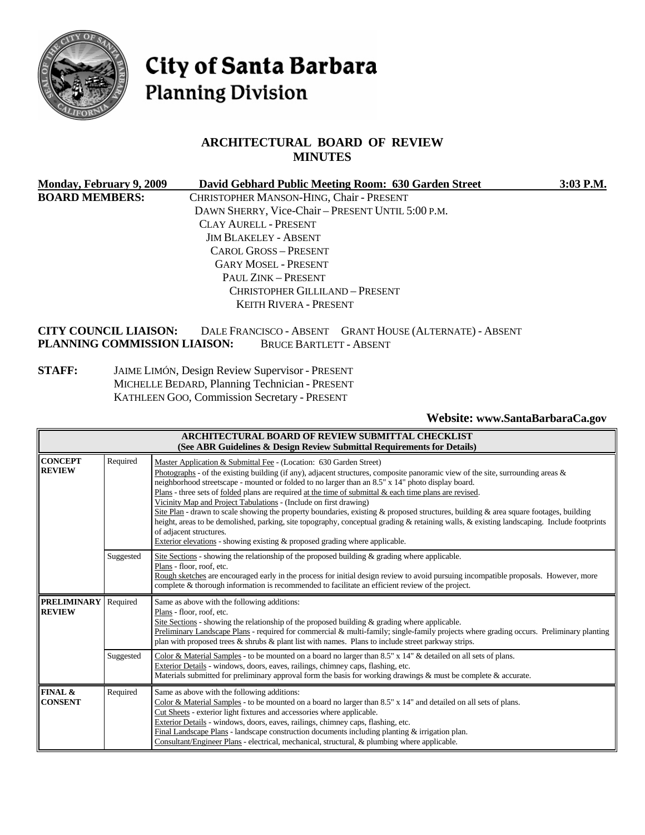

# City of Santa Barbara **Planning Division**

# **ARCHITECTURAL BOARD OF REVIEW MINUTES**

| Monday, February 9, 2009 | David Gebhard Public Meeting Room: 630 Garden Street | 3:03 P.M. |
|--------------------------|------------------------------------------------------|-----------|
| <b>BOARD MEMBERS:</b>    | CHRISTOPHER MANSON-HING, Chair - PRESENT             |           |
|                          | DAWN SHERRY, Vice-Chair - PRESENT UNTIL 5:00 P.M.    |           |
|                          | CLAY AURELL - PRESENT                                |           |
|                          | <b>JIM BLAKELEY - ABSENT</b>                         |           |
|                          | CAROL GROSS - PRESENT                                |           |
|                          | <b>GARY MOSEL - PRESENT</b>                          |           |
|                          | PAUL ZINK - PRESENT                                  |           |
|                          | <b>CHRISTOPHER GILLILAND - PRESENT</b>               |           |
|                          | <b>KEITH RIVERA - PRESENT</b>                        |           |
|                          |                                                      |           |

**CITY COUNCIL LIAISON:** DALE FRANCISCO - ABSENT GRANT HOUSE (ALTERNATE) - ABSENT **PLANNING COMMISSION LIAISON:** BRUCE BARTLETT - ABSENT

**STAFF:** JAIME LIMÓN, Design Review Supervisor - PRESENT MICHELLE BEDARD, Planning Technician - PRESENT KATHLEEN GOO, Commission Secretary - PRESENT

**Website: [www.SantaBarbaraCa.gov](http://www.santabarbaraca.gov/)** 

| <b>ARCHITECTURAL BOARD OF REVIEW SUBMITTAL CHECKLIST</b><br>(See ABR Guidelines & Design Review Submittal Requirements for Details) |                                                                                                                                                                                                                                                                                                                                                                                                                                                                                                                                                                                                                                                                                                                                                                                                                                                                                                         |                                                                                                                                                                                                                                                                                                                                                                                                                                                                                                                                    |  |
|-------------------------------------------------------------------------------------------------------------------------------------|---------------------------------------------------------------------------------------------------------------------------------------------------------------------------------------------------------------------------------------------------------------------------------------------------------------------------------------------------------------------------------------------------------------------------------------------------------------------------------------------------------------------------------------------------------------------------------------------------------------------------------------------------------------------------------------------------------------------------------------------------------------------------------------------------------------------------------------------------------------------------------------------------------|------------------------------------------------------------------------------------------------------------------------------------------------------------------------------------------------------------------------------------------------------------------------------------------------------------------------------------------------------------------------------------------------------------------------------------------------------------------------------------------------------------------------------------|--|
| <b>CONCEPT</b><br><b>REVIEW</b>                                                                                                     | Required<br>Master Application & Submittal Fee - (Location: 630 Garden Street)<br>Photographs - of the existing building (if any), adjacent structures, composite panoramic view of the site, surrounding areas &<br>neighborhood streetscape - mounted or folded to no larger than an 8.5" x 14" photo display board.<br>Plans - three sets of folded plans are required at the time of submittal & each time plans are revised.<br>Vicinity Map and Project Tabulations - (Include on first drawing)<br>Site Plan - drawn to scale showing the property boundaries, existing & proposed structures, building & area square footages, building<br>height, areas to be demolished, parking, site topography, conceptual grading & retaining walls, & existing landscaping. Include footprints<br>of adjacent structures.<br>Exterior elevations - showing existing & proposed grading where applicable. |                                                                                                                                                                                                                                                                                                                                                                                                                                                                                                                                    |  |
|                                                                                                                                     | Suggested                                                                                                                                                                                                                                                                                                                                                                                                                                                                                                                                                                                                                                                                                                                                                                                                                                                                                               | Site Sections - showing the relationship of the proposed building $\&$ grading where applicable.<br>Plans - floor, roof, etc.<br>Rough sketches are encouraged early in the process for initial design review to avoid pursuing incompatible proposals. However, more<br>complete & thorough information is recommended to facilitate an efficient review of the project.                                                                                                                                                          |  |
| <b>PRELIMINARY</b><br><b>REVIEW</b>                                                                                                 | Required                                                                                                                                                                                                                                                                                                                                                                                                                                                                                                                                                                                                                                                                                                                                                                                                                                                                                                | Same as above with the following additions:<br>Plans - floor, roof, etc.<br>Site Sections - showing the relationship of the proposed building $\&$ grading where applicable.<br>Preliminary Landscape Plans - required for commercial & multi-family; single-family projects where grading occurs. Preliminary planting<br>plan with proposed trees $\&$ shrubs $\&$ plant list with names. Plans to include street parkway strips.                                                                                                |  |
|                                                                                                                                     | Suggested                                                                                                                                                                                                                                                                                                                                                                                                                                                                                                                                                                                                                                                                                                                                                                                                                                                                                               | Color & Material Samples - to be mounted on a board no larger than 8.5" x 14" & detailed on all sets of plans.<br>Exterior Details - windows, doors, eaves, railings, chimney caps, flashing, etc.<br>Materials submitted for preliminary approval form the basis for working drawings & must be complete & accurate.                                                                                                                                                                                                              |  |
| FINAL &<br><b>CONSENT</b>                                                                                                           | Required                                                                                                                                                                                                                                                                                                                                                                                                                                                                                                                                                                                                                                                                                                                                                                                                                                                                                                | Same as above with the following additions:<br>Color & Material Samples - to be mounted on a board no larger than 8.5" x 14" and detailed on all sets of plans.<br>Cut Sheets - exterior light fixtures and accessories where applicable.<br>Exterior Details - windows, doors, eaves, railings, chimney caps, flashing, etc.<br>Final Landscape Plans - landscape construction documents including planting $\&$ irrigation plan.<br>Consultant/Engineer Plans - electrical, mechanical, structural, & plumbing where applicable. |  |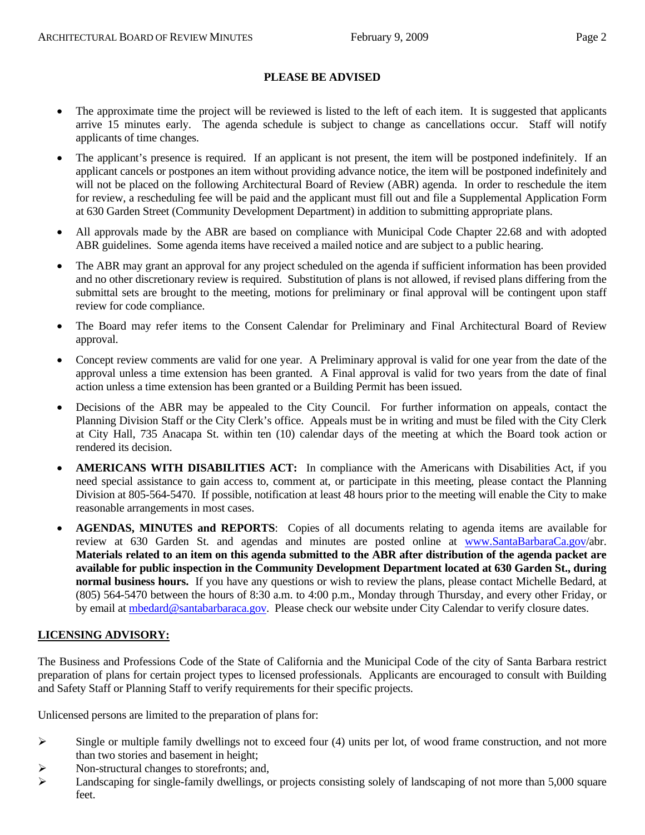#### **PLEASE BE ADVISED**

- The approximate time the project will be reviewed is listed to the left of each item. It is suggested that applicants arrive 15 minutes early. The agenda schedule is subject to change as cancellations occur. Staff will notify applicants of time changes.
- The applicant's presence is required. If an applicant is not present, the item will be postponed indefinitely. If an applicant cancels or postpones an item without providing advance notice, the item will be postponed indefinitely and will not be placed on the following Architectural Board of Review (ABR) agenda. In order to reschedule the item for review, a rescheduling fee will be paid and the applicant must fill out and file a Supplemental Application Form at 630 Garden Street (Community Development Department) in addition to submitting appropriate plans.
- All approvals made by the ABR are based on compliance with Municipal Code Chapter 22.68 and with adopted ABR guidelines. Some agenda items have received a mailed notice and are subject to a public hearing.
- The ABR may grant an approval for any project scheduled on the agenda if sufficient information has been provided and no other discretionary review is required. Substitution of plans is not allowed, if revised plans differing from the submittal sets are brought to the meeting, motions for preliminary or final approval will be contingent upon staff review for code compliance.
- The Board may refer items to the Consent Calendar for Preliminary and Final Architectural Board of Review approval.
- Concept review comments are valid for one year. A Preliminary approval is valid for one year from the date of the approval unless a time extension has been granted. A Final approval is valid for two years from the date of final action unless a time extension has been granted or a Building Permit has been issued.
- Decisions of the ABR may be appealed to the City Council. For further information on appeals, contact the Planning Division Staff or the City Clerk's office. Appeals must be in writing and must be filed with the City Clerk at City Hall, 735 Anacapa St. within ten (10) calendar days of the meeting at which the Board took action or rendered its decision.
- **AMERICANS WITH DISABILITIES ACT:** In compliance with the Americans with Disabilities Act, if you need special assistance to gain access to, comment at, or participate in this meeting, please contact the Planning Division at 805-564-5470. If possible, notification at least 48 hours prior to the meeting will enable the City to make reasonable arrangements in most cases.
- **AGENDAS, MINUTES and REPORTS**: Copies of all documents relating to agenda items are available for review at 630 Garden St. and agendas and minutes are posted online at [www.SantaBarbaraCa.gov/](http://www.santabarbaraca.gov/)abr. **Materials related to an item on this agenda submitted to the ABR after distribution of the agenda packet are available for public inspection in the Community Development Department located at 630 Garden St., during normal business hours.** If you have any questions or wish to review the plans, please contact Michelle Bedard, at (805) 564-5470 between the hours of 8:30 a.m. to 4:00 p.m., Monday through Thursday, and every other Friday, or by email at [mbedard@santabarbaraca.gov](mailto:mbedard@santabarbaraca.gov). Please check our website under City Calendar to verify closure dates.

# **LICENSING ADVISORY:**

The Business and Professions Code of the State of California and the Municipal Code of the city of Santa Barbara restrict preparation of plans for certain project types to licensed professionals. Applicants are encouraged to consult with Building and Safety Staff or Planning Staff to verify requirements for their specific projects.

Unlicensed persons are limited to the preparation of plans for:

- $\triangleright$  Single or multiple family dwellings not to exceed four (4) units per lot, of wood frame construction, and not more than two stories and basement in height;
- $\triangleright$  Non-structural changes to storefronts; and,
- $\blacktriangleright$  Landscaping for single-family dwellings, or projects consisting solely of landscaping of not more than 5,000 square feet.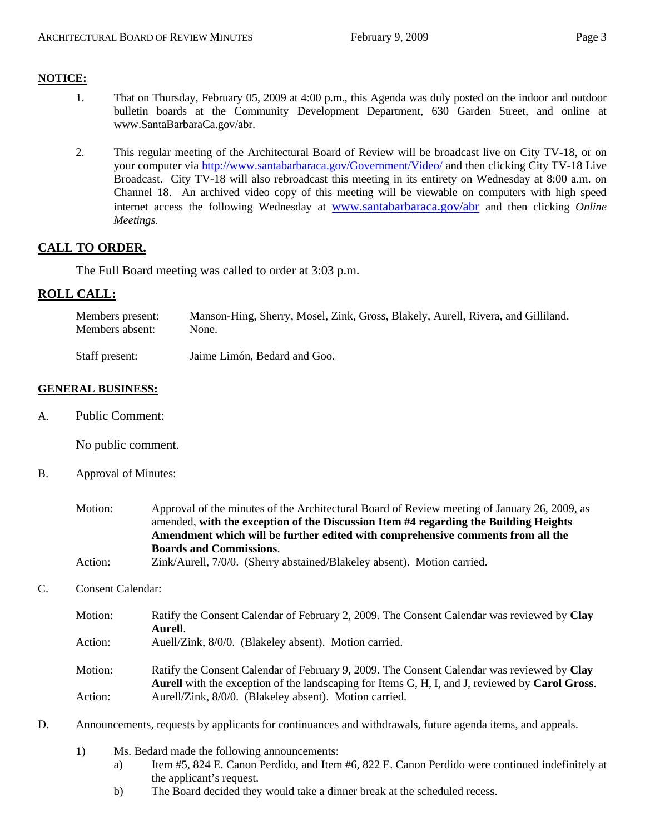## **NOTICE:**

- 1. That on Thursday, February 05, 2009 at 4:00 p.m., this Agenda was duly posted on the indoor and outdoor bulletin boards at the Community Development Department, 630 Garden Street, and online at [www.SantaBarbaraCa.gov/abr.](http://www.santabarbaraca.gov/abr)
- 2. This regular meeting of the Architectural Board of Review will be broadcast live on City TV-18, or on your computer via <http://www.santabarbaraca.gov/Government/Video/> and then clicking City TV-18 Live Broadcast. City TV-18 will also rebroadcast this meeting in its entirety on Wednesday at 8:00 a.m. on Channel 18. An archived video copy of this meeting will be viewable on computers with high speed internet access the following Wednesday at [www.santabarbaraca.gov/abr](http://www.santabarbaraca.gov/abr) and then clicking *Online Meetings.*

# **CALL TO ORDER.**

The Full Board meeting was called to order at 3:03 p.m.

# **ROLL CALL:**

| Members present: | Manson-Hing, Sherry, Mosel, Zink, Gross, Blakely, Aurell, Rivera, and Gilliland. |
|------------------|----------------------------------------------------------------------------------|
| Members absent:  | None.                                                                            |

Staff present: Jaime Limón, Bedard and Goo.

#### **GENERAL BUSINESS:**

A. Public Comment:

No public comment.

B. Approval of Minutes:

| Motion:                                 | Approval of the minutes of the Architectural Board of Review meeting of January 26, 2009, as |  |  |
|-----------------------------------------|----------------------------------------------------------------------------------------------|--|--|
|                                         | amended, with the exception of the Discussion Item #4 regarding the Building Heights         |  |  |
|                                         | Amendment which will be further edited with comprehensive comments from all the              |  |  |
|                                         | <b>Boards and Commissions.</b>                                                               |  |  |
| $\lambda$ $\lambda$ $\lambda$ $\lambda$ | $7:1/411$ $7/0/0$ $(0111)$ $(011)$                                                           |  |  |

```
Action: Zink/Aurell, 7/0/0. (Sherry abstained/Blakeley absent). Motion carried.
```
#### C. Consent Calendar:

- Motion: Ratify the Consent Calendar of February 2, 2009. The Consent Calendar was reviewed by **Clay Aurell**.
- Action: Auell/Zink, 8/0/0. (Blakeley absent). Motion carried.

Motion: Ratify the Consent Calendar of February 9, 2009. The Consent Calendar was reviewed by **Clay Aurell** with the exception of the landscaping for Items G, H, I, and J, reviewed by **Carol Gross**. Action: Aurell/Zink, 8/0/0. (Blakeley absent). Motion carried.

- D. Announcements, requests by applicants for continuances and withdrawals, future agenda items, and appeals.
	- 1) Ms. Bedard made the following announcements:
		- a) Item #5, 824 E. Canon Perdido, and Item #6, 822 E. Canon Perdido were continued indefinitely at the applicant's request.
		- b) The Board decided they would take a dinner break at the scheduled recess.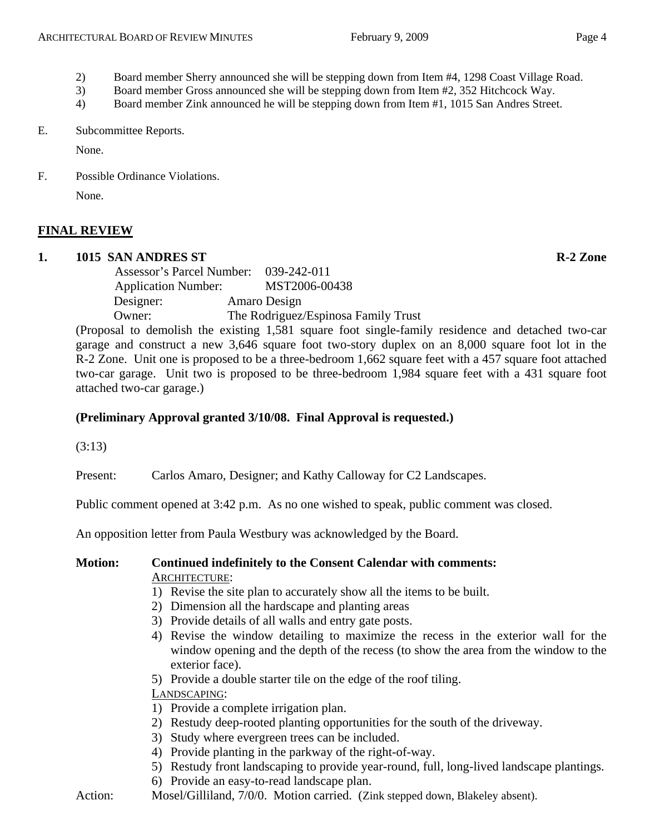- 
- 2) Board member Sherry announced she will be stepping down from Item #4, 1298 Coast Village Road.
- 3) Board member Gross announced she will be stepping down from Item #2, 352 Hitchcock Way.
- 4) Board member Zink announced he will be stepping down from Item #1, 1015 San Andres Street.

## E. Subcommittee Reports.

None.

F. Possible Ordinance Violations. None.

# **FINAL REVIEW**

# **1. 1015 SAN ANDRES ST R-2 Zone**

 Assessor's Parcel Number: 039-242-011 Application Number: MST2006-00438 Designer: Amaro Design Owner: The Rodriguez/Espinosa Family Trust

(Proposal to demolish the existing 1,581 square foot single-family residence and detached two-car garage and construct a new 3,646 square foot two-story duplex on an 8,000 square foot lot in the R-2 Zone. Unit one is proposed to be a three-bedroom 1,662 square feet with a 457 square foot attached two-car garage. Unit two is proposed to be three-bedroom 1,984 square feet with a 431 square foot attached two-car garage.)

# **(Preliminary Approval granted 3/10/08. Final Approval is requested.)**

(3:13)

Present: Carlos Amaro, Designer; and Kathy Calloway for C2 Landscapes.

Public comment opened at 3:42 p.m. As no one wished to speak, public comment was closed.

An opposition letter from Paula Westbury was acknowledged by the Board.

# **Motion: Continued indefinitely to the Consent Calendar with comments:**  ARCHITECTURE:

- 1) Revise the site plan to accurately show all the items to be built.
- 2) Dimension all the hardscape and planting areas
- 3) Provide details of all walls and entry gate posts.
- 4) Revise the window detailing to maximize the recess in the exterior wall for the window opening and the depth of the recess (to show the area from the window to the exterior face).
- 5) Provide a double starter tile on the edge of the roof tiling.

# LANDSCAPING:

- 1) Provide a complete irrigation plan.
- 2) Restudy deep-rooted planting opportunities for the south of the driveway.
- 3) Study where evergreen trees can be included.
- 4) Provide planting in the parkway of the right-of-way.
- 5) Restudy front landscaping to provide year-round, full, long-lived landscape plantings.
- 6) Provide an easy-to-read landscape plan.
- Action: Mosel/Gilliland, 7/0/0. Motion carried. (Zink stepped down, Blakeley absent).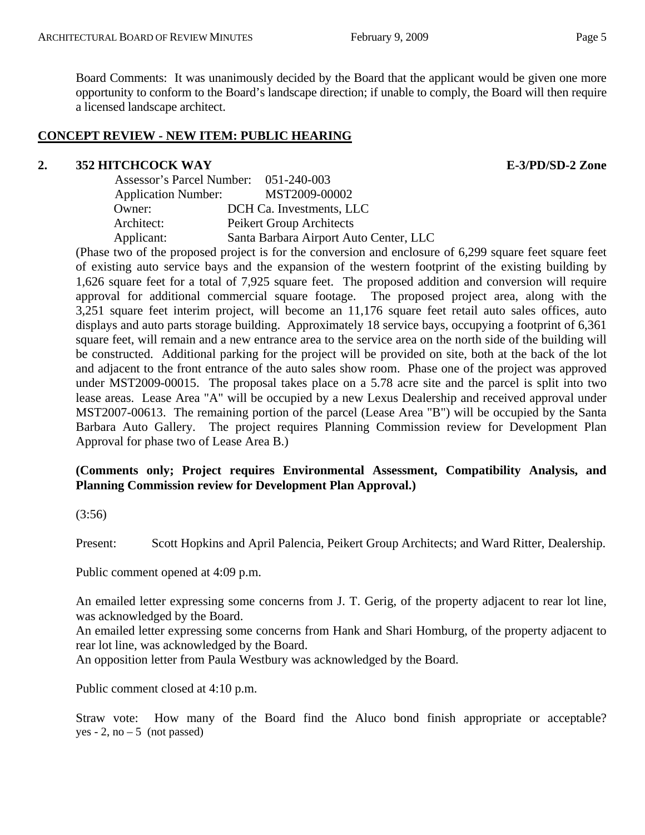Board Comments: It was unanimously decided by the Board that the applicant would be given one more opportunity to conform to the Board's landscape direction; if unable to comply, the Board will then require a licensed landscape architect.

## **CONCEPT REVIEW - NEW ITEM: PUBLIC HEARING**

## **2. 352 HITCHCOCK WAY E-3/PD/SD-2 Zone**

| Assessor's Parcel Number: 051-240-003 |                                        |
|---------------------------------------|----------------------------------------|
| <b>Application Number:</b>            | MST2009-00002                          |
| Owner:                                | DCH Ca. Investments, LLC               |
| Architect:                            | Peikert Group Architects               |
| Applicant:                            | Santa Barbara Airport Auto Center, LLC |

(Phase two of the proposed project is for the conversion and enclosure of 6,299 square feet square feet of existing auto service bays and the expansion of the western footprint of the existing building by 1,626 square feet for a total of 7,925 square feet. The proposed addition and conversion will require approval for additional commercial square footage. The proposed project area, along with the 3,251 square feet interim project, will become an 11,176 square feet retail auto sales offices, auto displays and auto parts storage building. Approximately 18 service bays, occupying a footprint of 6,361 square feet, will remain and a new entrance area to the service area on the north side of the building will be constructed. Additional parking for the project will be provided on site, both at the back of the lot and adjacent to the front entrance of the auto sales show room. Phase one of the project was approved under MST2009-00015. The proposal takes place on a 5.78 acre site and the parcel is split into two lease areas. Lease Area "A" will be occupied by a new Lexus Dealership and received approval under MST2007-00613. The remaining portion of the parcel (Lease Area "B") will be occupied by the Santa Barbara Auto Gallery. The project requires Planning Commission review for Development Plan Approval for phase two of Lease Area B.)

# **(Comments only; Project requires Environmental Assessment, Compatibility Analysis, and Planning Commission review for Development Plan Approval.)**

## (3:56)

Present: Scott Hopkins and April Palencia, Peikert Group Architects; and Ward Ritter, Dealership.

Public comment opened at 4:09 p.m.

An emailed letter expressing some concerns from J. T. Gerig, of the property adjacent to rear lot line, was acknowledged by the Board.

An emailed letter expressing some concerns from Hank and Shari Homburg, of the property adjacent to rear lot line, was acknowledged by the Board.

An opposition letter from Paula Westbury was acknowledged by the Board.

Public comment closed at 4:10 p.m.

Straw vote: How many of the Board find the Aluco bond finish appropriate or acceptable? yes  $-2$ , no  $-5$  (not passed)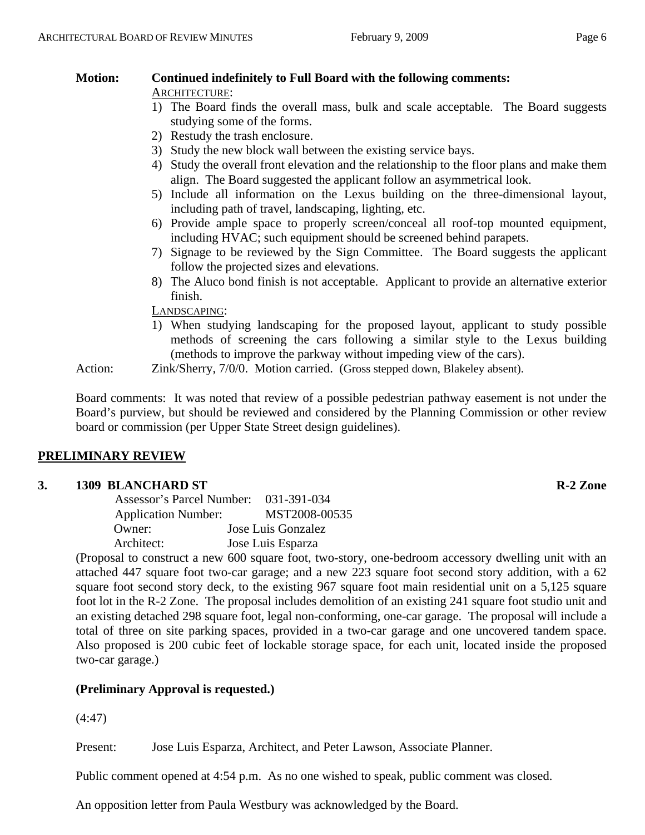#### **Motion: Continued indefinitely to Full Board with the following comments:**  ARCHITECTURE:

- 1) The Board finds the overall mass, bulk and scale acceptable. The Board suggests studying some of the forms.
- 2) Restudy the trash enclosure.
- 3) Study the new block wall between the existing service bays.
- 4) Study the overall front elevation and the relationship to the floor plans and make them align. The Board suggested the applicant follow an asymmetrical look.
- 5) Include all information on the Lexus building on the three-dimensional layout, including path of travel, landscaping, lighting, etc.
- 6) Provide ample space to properly screen/conceal all roof-top mounted equipment, including HVAC; such equipment should be screened behind parapets.
- 7) Signage to be reviewed by the Sign Committee. The Board suggests the applicant follow the projected sizes and elevations.
- 8) The Aluco bond finish is not acceptable. Applicant to provide an alternative exterior finish.

LANDSCAPING:

1) When studying landscaping for the proposed layout, applicant to study possible methods of screening the cars following a similar style to the Lexus building (methods to improve the parkway without impeding view of the cars).

Action: Zink/Sherry, 7/0/0. Motion carried. (Gross stepped down, Blakeley absent).

Board comments: It was noted that review of a possible pedestrian pathway easement is not under the Board's purview, but should be reviewed and considered by the Planning Commission or other review board or commission (per Upper State Street design guidelines).

# **PRELIMINARY REVIEW**

# **3. 1309 BLANCHARD ST R-2 Zone**

| Assessor's Parcel Number:  | 031-391-034        |
|----------------------------|--------------------|
| <b>Application Number:</b> | MST2008-00535      |
| Owner:                     | Jose Luis Gonzalez |
| Architect:                 | Jose Luis Esparza  |

(Proposal to construct a new 600 square foot, two-story, one-bedroom accessory dwelling unit with an attached 447 square foot two-car garage; and a new 223 square foot second story addition, with a 62 square foot second story deck, to the existing 967 square foot main residential unit on a 5,125 square foot lot in the R-2 Zone. The proposal includes demolition of an existing 241 square foot studio unit and an existing detached 298 square foot, legal non-conforming, one-car garage. The proposal will include a total of three on site parking spaces, provided in a two-car garage and one uncovered tandem space. Also proposed is 200 cubic feet of lockable storage space, for each unit, located inside the proposed two-car garage.)

# **(Preliminary Approval is requested.)**

(4:47)

Present: Jose Luis Esparza, Architect, and Peter Lawson, Associate Planner.

Public comment opened at 4:54 p.m. As no one wished to speak, public comment was closed.

An opposition letter from Paula Westbury was acknowledged by the Board.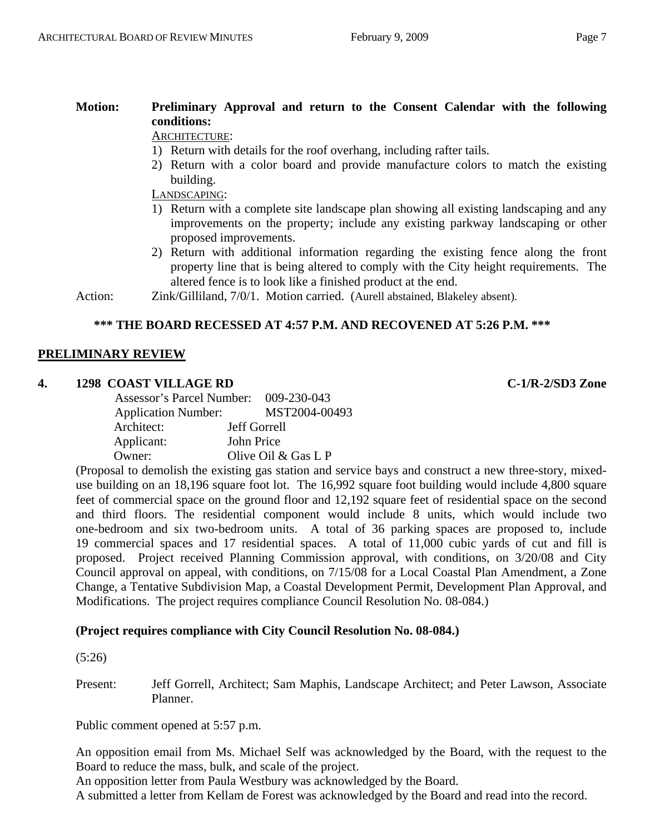# **Motion: Preliminary Approval and return to the Consent Calendar with the following conditions:**

# ARCHITECTURE:

- 1) Return with details for the roof overhang, including rafter tails.
- 2) Return with a color board and provide manufacture colors to match the existing building.

LANDSCAPING:

- 1) Return with a complete site landscape plan showing all existing landscaping and any improvements on the property; include any existing parkway landscaping or other proposed improvements.
- 2) Return with additional information regarding the existing fence along the front property line that is being altered to comply with the City height requirements. The altered fence is to look like a finished product at the end.

Action: Zink/Gilliland, 7/0/1. Motion carried. (Aurell abstained, Blakeley absent).

## **\*\*\* THE BOARD RECESSED AT 4:57 P.M. AND RECOVENED AT 5:26 P.M. \*\*\***

## **PRELIMINARY REVIEW**

## **4. 1298 COAST VILLAGE RD C-1/R-2/SD3 Zone**

| Assessor's Parcel Number: 009-230-043 |                       |
|---------------------------------------|-----------------------|
| <b>Application Number:</b>            | MST2004-00493         |
| Architect:                            | Jeff Gorrell          |
| Applicant:                            | John Price            |
| Owner:                                | Olive Oil $&$ Gas L P |

(Proposal to demolish the existing gas station and service bays and construct a new three-story, mixeduse building on an 18,196 square foot lot. The 16,992 square foot building would include 4,800 square feet of commercial space on the ground floor and 12,192 square feet of residential space on the second and third floors. The residential component would include 8 units, which would include two one-bedroom and six two-bedroom units. A total of 36 parking spaces are proposed to, include 19 commercial spaces and 17 residential spaces. A total of 11,000 cubic yards of cut and fill is proposed. Project received Planning Commission approval, with conditions, on 3/20/08 and City Council approval on appeal, with conditions, on 7/15/08 for a Local Coastal Plan Amendment, a Zone Change, a Tentative Subdivision Map, a Coastal Development Permit, Development Plan Approval, and Modifications. The project requires compliance Council Resolution No. 08-084.)

## **(Project requires compliance with City Council Resolution No. 08-084.)**

(5:26)

Present: Jeff Gorrell, Architect; Sam Maphis, Landscape Architect; and Peter Lawson, Associate Planner.

Public comment opened at 5:57 p.m.

An opposition email from Ms. Michael Self was acknowledged by the Board, with the request to the Board to reduce the mass, bulk, and scale of the project.

An opposition letter from Paula Westbury was acknowledged by the Board.

A submitted a letter from Kellam de Forest was acknowledged by the Board and read into the record.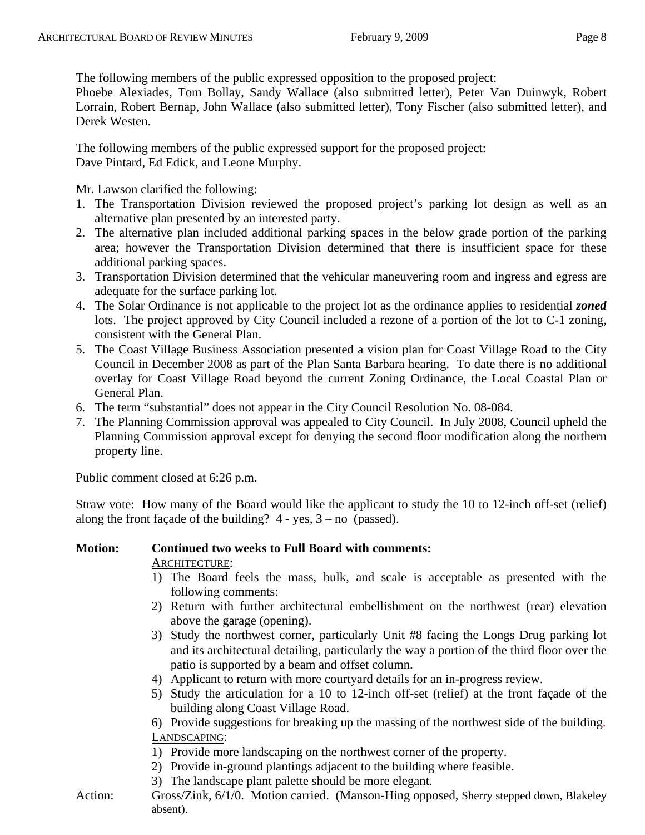The following members of the public expressed opposition to the proposed project:

Phoebe Alexiades, Tom Bollay, Sandy Wallace (also submitted letter), Peter Van Duinwyk, Robert Lorrain, Robert Bernap, John Wallace (also submitted letter), Tony Fischer (also submitted letter), and Derek Westen.

The following members of the public expressed support for the proposed project: Dave Pintard, Ed Edick, and Leone Murphy.

Mr. Lawson clarified the following:

- 1. The Transportation Division reviewed the proposed project's parking lot design as well as an alternative plan presented by an interested party.
- 2. The alternative plan included additional parking spaces in the below grade portion of the parking area; however the Transportation Division determined that there is insufficient space for these additional parking spaces.
- 3. Transportation Division determined that the vehicular maneuvering room and ingress and egress are adequate for the surface parking lot.
- 4. The Solar Ordinance is not applicable to the project lot as the ordinance applies to residential *zoned* lots. The project approved by City Council included a rezone of a portion of the lot to C-1 zoning, consistent with the General Plan.
- 5. The Coast Village Business Association presented a vision plan for Coast Village Road to the City Council in December 2008 as part of the Plan Santa Barbara hearing. To date there is no additional overlay for Coast Village Road beyond the current Zoning Ordinance, the Local Coastal Plan or General Plan.
- 6. The term "substantial" does not appear in the City Council Resolution No. 08-084.
- 7. The Planning Commission approval was appealed to City Council. In July 2008, Council upheld the Planning Commission approval except for denying the second floor modification along the northern property line.

Public comment closed at 6:26 p.m.

Straw vote: How many of the Board would like the applicant to study the 10 to 12-inch off-set (relief) along the front façade of the building?  $4 - yes$ ,  $3 - no$  (passed).

# **Motion: Continued two weeks to Full Board with comments:**  ARCHITECTURE:

- 1) The Board feels the mass, bulk, and scale is acceptable as presented with the following comments:
- 2) Return with further architectural embellishment on the northwest (rear) elevation above the garage (opening).
- 3) Study the northwest corner, particularly Unit #8 facing the Longs Drug parking lot and its architectural detailing, particularly the way a portion of the third floor over the patio is supported by a beam and offset column.
- 4) Applicant to return with more courtyard details for an in-progress review.
- 5) Study the articulation for a 10 to 12-inch off-set (relief) at the front façade of the building along Coast Village Road.

6) Provide suggestions for breaking up the massing of the northwest side of the building. LANDSCAPING:

- 1) Provide more landscaping on the northwest corner of the property.
- 2) Provide in-ground plantings adjacent to the building where feasible.
- 3) The landscape plant palette should be more elegant.
- Action: Gross/Zink, 6/1/0. Motion carried. (Manson-Hing opposed, Sherry stepped down, Blakeley absent).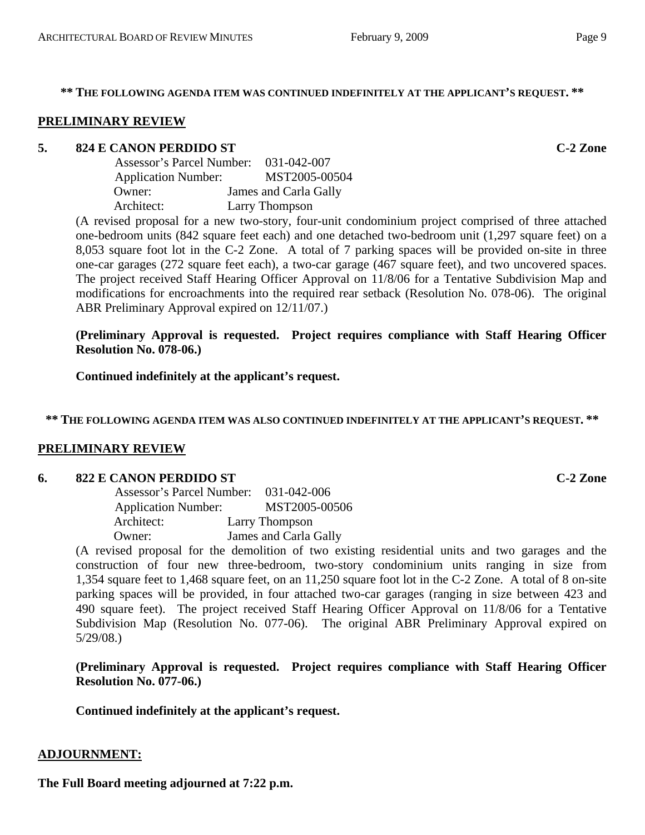#### **\*\* THE FOLLOWING AGENDA ITEM WAS CONTINUED INDEFINITELY AT THE APPLICANT'S REQUEST. \*\***

#### **PRELIMINARY REVIEW**

#### **5. 824 E CANON PERDIDO ST C-2 Zone**

| Assessor's Parcel Number:  | 031-042-007           |
|----------------------------|-----------------------|
| <b>Application Number:</b> | MST2005-00504         |
| Owner:                     | James and Carla Gally |
| Architect:                 | Larry Thompson        |

(A revised proposal for a new two-story, four-unit condominium project comprised of three attached one-bedroom units (842 square feet each) and one detached two-bedroom unit (1,297 square feet) on a 8,053 square foot lot in the C-2 Zone. A total of 7 parking spaces will be provided on-site in three one-car garages (272 square feet each), a two-car garage (467 square feet), and two uncovered spaces. The project received Staff Hearing Officer Approval on 11/8/06 for a Tentative Subdivision Map and modifications for encroachments into the required rear setback (Resolution No. 078-06). The original ABR Preliminary Approval expired on 12/11/07.)

**(Preliminary Approval is requested. Project requires compliance with Staff Hearing Officer Resolution No. 078-06.)** 

**Continued indefinitely at the applicant's request.** 

**\*\* THE FOLLOWING AGENDA ITEM WAS ALSO CONTINUED INDEFINITELY AT THE APPLICANT'S REQUEST. \*\*** 

#### **PRELIMINARY REVIEW**

#### **6. 822 E CANON PERDIDO ST C-2 Zone**

| Assessor's Parcel Number:  | 031-042-006           |
|----------------------------|-----------------------|
| <b>Application Number:</b> | MST2005-00506         |
| Architect:                 | Larry Thompson        |
| Owner:                     | James and Carla Gally |

(A revised proposal for the demolition of two existing residential units and two garages and the construction of four new three-bedroom, two-story condominium units ranging in size from 1,354 square feet to 1,468 square feet, on an 11,250 square foot lot in the C-2 Zone. A total of 8 on-site parking spaces will be provided, in four attached two-car garages (ranging in size between 423 and 490 square feet). The project received Staff Hearing Officer Approval on 11/8/06 for a Tentative Subdivision Map (Resolution No. 077-06). The original ABR Preliminary Approval expired on 5/29/08.)

**(Preliminary Approval is requested. Project requires compliance with Staff Hearing Officer Resolution No. 077-06.)** 

**Continued indefinitely at the applicant's request.**

# **ADJOURNMENT:**

**The Full Board meeting adjourned at 7:22 p.m.**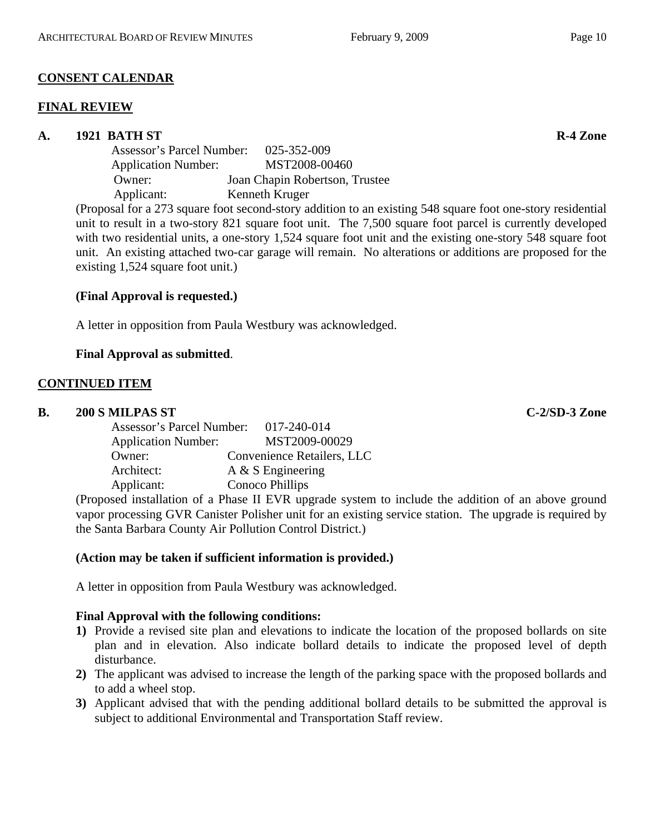# **CONSENT CALENDAR**

## **FINAL REVIEW**

# **A. 1921 BATH ST R-4 Zone**

Assessor's Parcel Number: 025-352-009 Application Number: MST2008-00460 Owner: Joan Chapin Robertson, Trustee Applicant: Kenneth Kruger

(Proposal for a 273 square foot second-story addition to an existing 548 square foot one-story residential unit to result in a two-story 821 square foot unit. The 7,500 square foot parcel is currently developed with two residential units, a one-story 1,524 square foot unit and the existing one-story 548 square foot unit. An existing attached two-car garage will remain. No alterations or additions are proposed for the existing 1,524 square foot unit.)

# **(Final Approval is requested.)**

A letter in opposition from Paula Westbury was acknowledged.

# **Final Approval as submitted**.

## **CONTINUED ITEM**

## **B. 200 S MILPAS ST C-2/SD-3 Zone**

| Assessor's Parcel Number:  | 017-240-014                |
|----------------------------|----------------------------|
| <b>Application Number:</b> | MST2009-00029              |
| Owner:                     | Convenience Retailers, LLC |
| Architect:                 | $A \& S$ Engineering       |
| Applicant:                 | Conoco Phillips            |

(Proposed installation of a Phase II EVR upgrade system to include the addition of an above ground vapor processing GVR Canister Polisher unit for an existing service station. The upgrade is required by the Santa Barbara County Air Pollution Control District.)

## **(Action may be taken if sufficient information is provided.)**

A letter in opposition from Paula Westbury was acknowledged.

## **Final Approval with the following conditions:**

- **1)** Provide a revised site plan and elevations to indicate the location of the proposed bollards on site plan and in elevation. Also indicate bollard details to indicate the proposed level of depth disturbance.
- **2)** The applicant was advised to increase the length of the parking space with the proposed bollards and to add a wheel stop.
- **3)** Applicant advised that with the pending additional bollard details to be submitted the approval is subject to additional Environmental and Transportation Staff review.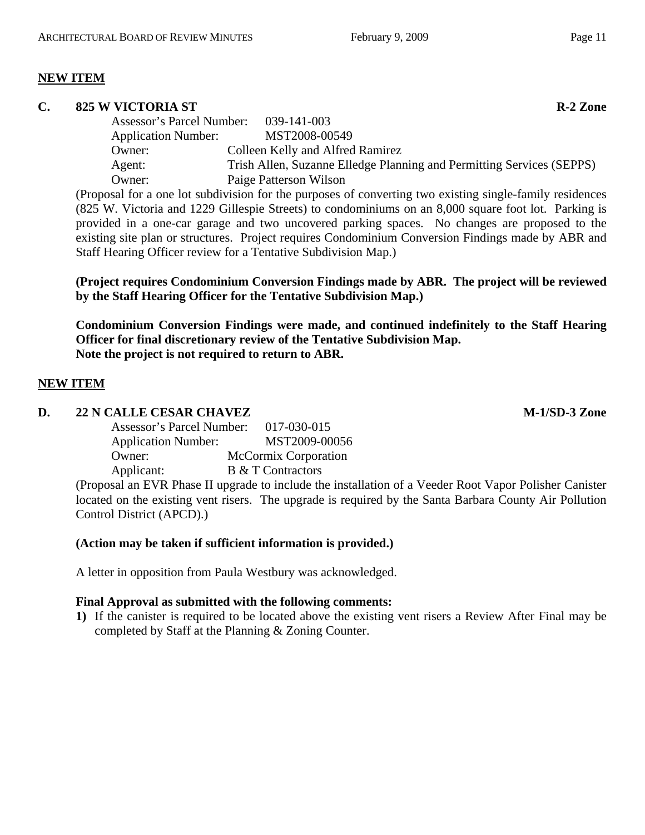# **NEW ITEM**

## **C.** 825 W VICTORIA ST **R-2** Zone

Assessor's Parcel Number: 039-141-003 Application Number: MST2008-00549 Owner: Colleen Kelly and Alfred Ramirez Agent: Trish Allen, Suzanne Elledge Planning and Permitting Services (SEPPS) Owner: Paige Patterson Wilson

(Proposal for a one lot subdivision for the purposes of converting two existing single-family residences (825 W. Victoria and 1229 Gillespie Streets) to condominiums on an 8,000 square foot lot. Parking is provided in a one-car garage and two uncovered parking spaces. No changes are proposed to the existing site plan or structures. Project requires Condominium Conversion Findings made by ABR and Staff Hearing Officer review for a Tentative Subdivision Map.)

# **(Project requires Condominium Conversion Findings made by ABR. The project will be reviewed by the Staff Hearing Officer for the Tentative Subdivision Map.)**

**Condominium Conversion Findings were made, and continued indefinitely to the Staff Hearing Officer for final discretionary review of the Tentative Subdivision Map. Note the project is not required to return to ABR.**

## **NEW ITEM**

## **D.** 22 N CALLE CESAR CHAVEZ M-1/SD-3 Zone

| Assessor's Parcel Number:  | 017-030-015                 |
|----------------------------|-----------------------------|
| <b>Application Number:</b> | MST2009-00056               |
| Owner:                     | <b>McCormix Corporation</b> |
| Applicant:                 | <b>B</b> & T Contractors    |

(Proposal an EVR Phase II upgrade to include the installation of a Veeder Root Vapor Polisher Canister located on the existing vent risers. The upgrade is required by the Santa Barbara County Air Pollution Control District (APCD).)

## **(Action may be taken if sufficient information is provided.)**

A letter in opposition from Paula Westbury was acknowledged.

## **Final Approval as submitted with the following comments:**

**1)** If the canister is required to be located above the existing vent risers a Review After Final may be completed by Staff at the Planning & Zoning Counter.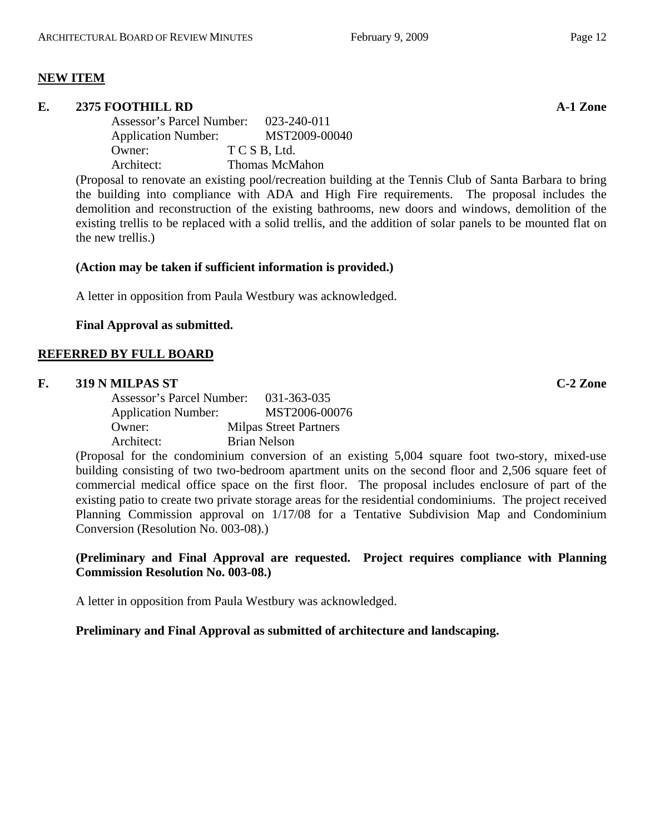## **NEW ITEM**

#### **E. 2375 FOOTHILL RD A-1 Zone**

Assessor's Parcel Number: 023-240-011 Application Number: MST2009-00040 Owner: T C S B, Ltd. Architect: Thomas McMahon

(Proposal to renovate an existing pool/recreation building at the Tennis Club of Santa Barbara to bring the building into compliance with ADA and High Fire requirements. The proposal includes the demolition and reconstruction of the existing bathrooms, new doors and windows, demolition of the existing trellis to be replaced with a solid trellis, and the addition of solar panels to be mounted flat on the new trellis.)

#### **(Action may be taken if sufficient information is provided.)**

A letter in opposition from Paula Westbury was acknowledged.

## **Final Approval as submitted.**

## **REFERRED BY FULL BOARD**

#### **F. 319 N MILPAS ST C-2 Zone**

| Assessor's Parcel Number:  |                     | 031-363-035                   |
|----------------------------|---------------------|-------------------------------|
| <b>Application Number:</b> |                     | MST2006-00076                 |
| Owner:                     |                     | <b>Milpas Street Partners</b> |
| Architect:                 | <b>Brian Nelson</b> |                               |

(Proposal for the condominium conversion of an existing 5,004 square foot two-story, mixed-use building consisting of two two-bedroom apartment units on the second floor and 2,506 square feet of commercial medical office space on the first floor. The proposal includes enclosure of part of the existing patio to create two private storage areas for the residential condominiums. The project received Planning Commission approval on 1/17/08 for a Tentative Subdivision Map and Condominium Conversion (Resolution No. 003-08).)

## **(Preliminary and Final Approval are requested. Project requires compliance with Planning Commission Resolution No. 003-08.)**

A letter in opposition from Paula Westbury was acknowledged.

## **Preliminary and Final Approval as submitted of architecture and landscaping.**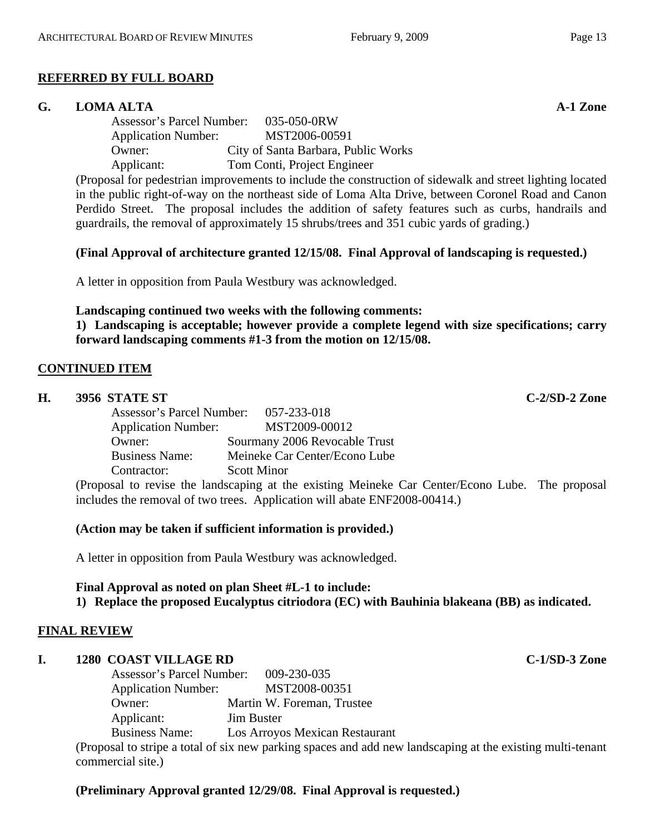# **REFERRED BY FULL BOARD**

# **G. LOMA ALTA A-1 Zone**

Assessor's Parcel Number: 035-050-0RW Application Number: MST2006-00591 Owner: City of Santa Barbara, Public Works Applicant: Tom Conti, Project Engineer

(Proposal for pedestrian improvements to include the construction of sidewalk and street lighting located in the public right-of-way on the northeast side of Loma Alta Drive, between Coronel Road and Canon Perdido Street. The proposal includes the addition of safety features such as curbs, handrails and guardrails, the removal of approximately 15 shrubs/trees and 351 cubic yards of grading.)

# **(Final Approval of architecture granted 12/15/08. Final Approval of landscaping is requested.)**

A letter in opposition from Paula Westbury was acknowledged.

# **Landscaping continued two weeks with the following comments:**

**1) Landscaping is acceptable; however provide a complete legend with size specifications; carry forward landscaping comments #1-3 from the motion on 12/15/08.**

# **CONTINUED ITEM**

| Н. | 3956 STATE ST                         |                                                                                                 | $C-2/SD-2$ Zone |
|----|---------------------------------------|-------------------------------------------------------------------------------------------------|-----------------|
|    | Assessor's Parcel Number: 057-233-018 |                                                                                                 |                 |
|    | <b>Application Number:</b>            | MST2009-00012                                                                                   |                 |
|    | Owner:                                | Sourmany 2006 Revocable Trust                                                                   |                 |
|    | <b>Business Name:</b>                 | Meineke Car Center/Econo Lube                                                                   |                 |
|    | Contractor:                           | <b>Scott Minor</b>                                                                              |                 |
|    |                                       | (Proposal to revise the landscaping at the existing Meineke Car Center/Econo Lube. The proposal |                 |

(Proposal to revise the landscaping at the existing Meineke Car Center/Econo Lube. The proposal includes the removal of two trees. Application will abate ENF2008-00414.)

# **(Action may be taken if sufficient information is provided.)**

A letter in opposition from Paula Westbury was acknowledged.

# **Final Approval as noted on plan Sheet #L-1 to include:**

**1) Replace the proposed Eucalyptus citriodora (EC) with Bauhinia blakeana (BB) as indicated.**

# **FINAL REVIEW**

# **I. 1280 COAST VILLAGE RD C-1/SD-3 Zone**

| <b>Assessor's Parcel Number:</b> | 009-230-035                    |
|----------------------------------|--------------------------------|
| <b>Application Number:</b>       | MST2008-00351                  |
| Owner:                           | Martin W. Foreman, Trustee     |
| Applicant:                       | <b>Jim Buster</b>              |
| <b>Business Name:</b>            | Los Arroyos Mexican Restaurant |
|                                  |                                |

(Proposal to stripe a total of six new parking spaces and add new landscaping at the existing multi-tenant commercial site.)

# **(Preliminary Approval granted 12/29/08. Final Approval is requested.)**